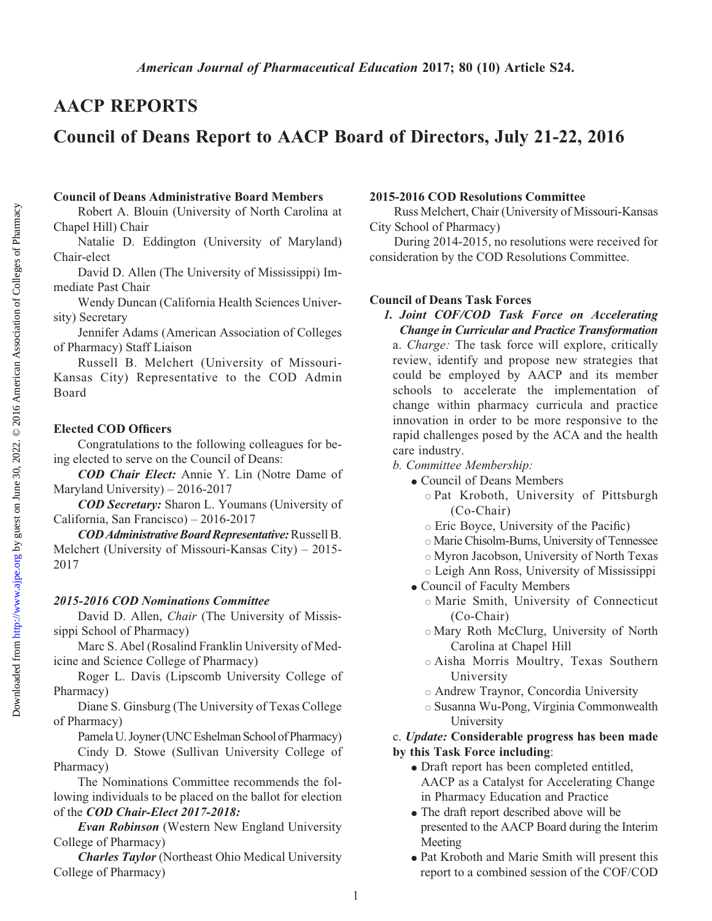# AACP REPORTS

# Council of Deans Report to AACP Board of Directors, July 21-22, 2016

### Council of Deans Administrative Board Members

Robert A. Blouin (University of North Carolina at Chapel Hill) Chair

Natalie D. Eddington (University of Maryland) Chair-elect

David D. Allen (The University of Mississippi) Immediate Past Chair

Wendy Duncan (California Health Sciences University) Secretary

Jennifer Adams (American Association of Colleges of Pharmacy) Staff Liaison

Russell B. Melchert (University of Missouri-Kansas City) Representative to the COD Admin Board

### Elected COD Officers

Congratulations to the following colleagues for being elected to serve on the Council of Deans:

COD Chair Elect: Annie Y. Lin (Notre Dame of Maryland University) – 2016-2017

COD Secretary: Sharon L. Youmans (University of California, San Francisco) – 2016-2017

COD Administrative Board Representative: Russell B. Melchert (University of Missouri-Kansas City) – 2015- 2017

### 2015-2016 COD Nominations Committee

David D. Allen, Chair (The University of Mississippi School of Pharmacy)

Marc S. Abel (Rosalind Franklin University of Medicine and Science College of Pharmacy)

Roger L. Davis (Lipscomb University College of Pharmacy)

Diane S. Ginsburg (The University of Texas College of Pharmacy)

Pamela U. Joyner (UNC Eshelman School of Pharmacy)

Cindy D. Stowe (Sullivan University College of Pharmacy)

The Nominations Committee recommends the following individuals to be placed on the ballot for election of the COD Chair-Elect 2017-2018:

Evan Robinson (Western New England University College of Pharmacy)

Charles Taylor (Northeast Ohio Medical University College of Pharmacy)

#### 2015-2016 COD Resolutions Committee

Russ Melchert, Chair (University of Missouri-Kansas City School of Pharmacy)

During 2014-2015, no resolutions were received for consideration by the COD Resolutions Committee.

### Council of Deans Task Forces

1. Joint COF/COD Task Force on Accelerating Change in Curricular and Practice Transformation a. Charge: The task force will explore, critically review, identify and propose new strategies that could be employed by AACP and its member schools to accelerate the implementation of change within pharmacy curricula and practice innovation in order to be more responsive to the rapid challenges posed by the ACA and the health care industry.

- 
- $\bullet$  Council of Deans Members
	- o Pat Kroboth, University of Pittsburgh (Co-Chair)
	- $\circ$  Eric Boyce, University of the Pacific)
	- <sup>s</sup> Marie Chisolm-Burns, University of Tennessee
	- o Myron Jacobson, University of North Texas
	- $\circ$  Leigh Ann Ross, University of Mississippi
	- Council of Faculty Members
		- o Marie Smith, University of Connecticut (Co-Chair)
		- o Mary Roth McClurg, University of North Carolina at Chapel Hill
		- o Aisha Morris Moultry, Texas Southern University
		- o Andrew Traynor, Concordia University
		- <sup>s</sup> Susanna Wu-Pong, Virginia Commonwealth University

c. Update: Considerable progress has been made by this Task Force including:

- Draft report has been completed entitled, AACP as a Catalyst for Accelerating Change in Pharmacy Education and Practice
- The draft report described above will be presented to the AACP Board during the Interim Meeting
- <sup>d</sup> Pat Kroboth and Marie Smith will present this report to a combined session of the COF/COD